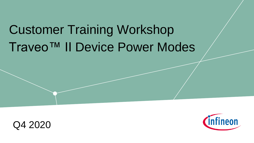# Traveo™ II Device Power Modes Customer Training Workshop



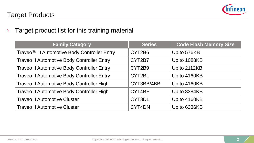

 $\rightarrow$  Target product list for this training material

| <b>Family Category</b>                                  | <b>Series</b> | <b>Code Flash Memory Size</b> |
|---------------------------------------------------------|---------------|-------------------------------|
| Traveo <sup>™</sup> Il Automotive Body Controller Entry | CYT2B6        | Up to 576KB                   |
| <b>Traveo II Automotive Body Controller Entry</b>       | CYT2B7        | Up to 1088KB                  |
| <b>Traveo II Automotive Body Controller Entry</b>       | CYT2B9        | Up to 2112KB                  |
| <b>Traveo II Automotive Body Controller Entry</b>       | CYT2BL        | Up to 4160KB                  |
| <b>Traveo II Automotive Body Controller High</b>        | CYT3BB/4BB    | Up to 4160KB                  |
| Traveo II Automotive Body Controller High               | CYT4BF        | Up to 8384KB                  |
| <b>Traveo II Automotive Cluster</b>                     | CYT3DL        | Up to 4160KB                  |
| <b>Traveo II Automotive Cluster</b>                     | CYT4DN        | Up to 6336KB                  |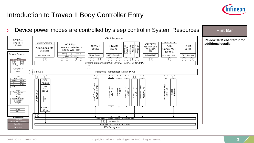

## Introduction to Traveo II Body Controller Entry

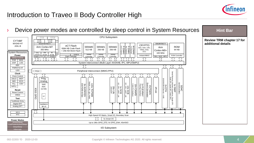

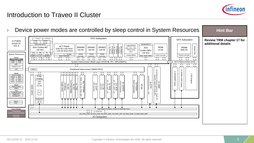

## Introduction to Traveo II Cluster

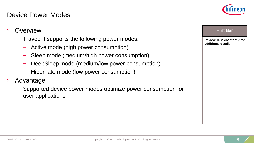**Overview** 

› Advantage

user applications





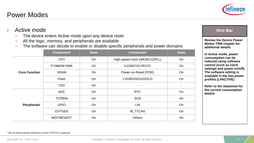### Power Modes

- The device enters Active mode upon any device reset
- All the logic, memory, and peripherals are available
- The software can decide to enable or disable specific peripherals and power domains

|                      | <b>Component</b> | <b>State</b> | <b>Component</b>               | <b>State</b>             |
|----------------------|------------------|--------------|--------------------------------|--------------------------|
| <b>Core Function</b> | CPU              | On           | High-speed clock (IMO/ECO/PLL) | On                       |
|                      | P-DMA/M-DMA      | <b>On</b>    | ILO/WCO/LPECO <sup>1</sup>     | <b>On</b>                |
|                      | <b>SRAM</b>      | On           | Power-on-Reset (POR)           | On                       |
|                      | Flash            | On           | LVD/BOD/OVD/OCD                | On                       |
|                      | CSV              | On           | ۰                              | $\overline{\phantom{0}}$ |
| Peripherals          | ADC              | On           | <b>RTC</b>                     | On                       |
|                      | <b>TCPWM</b>     | On           | <b>SCB</b>                     | On                       |
|                      | <b>GPIO</b>      | On           | <b>LIN</b>                     | On                       |
|                      | <b>EVTGEN</b>    | On           | M_TTCAN                        | On                       |
|                      | WDT/MCWDT        | On           | <b>Others</b>                  | On                       |



#### **Hint Bar**

**Review the Device Power Modes TRM chapter for additional details**

**In Active mode, power consumption can be reduced using software control (such as clock settings and power on/off). The software setting is available in the low-power profiles (LPACTIVE)**

**Refer to the datasheet for the current consumption details**

002-22203 \*D 2020-12-03 Copyright © Infineon Technologies AG 2020. All rights reserved. 7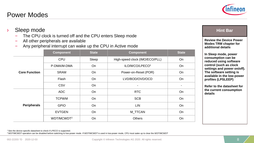#### <sup>1</sup> See the device-specific datasheet to check if LPECO is supported.

<sup>2</sup>WDT/MCWDT operation can be disabled before switching to low-power mode. If WDT/MCWDT is used in low-power mode, CPU must wake up to clear the WDT/MCWDT

– The CPU clock is turned off and the CPU enters Sleep mode

– Any peripheral interrupt can wake up the CPU in Active mode

| <b>Power Modes</b> |  |
|--------------------|--|
|                    |  |

– All other peripherals are available

Sleep mode

**Core Function**

**Peripherals**



**Review the Device Power Modes TRM chapter for additional details**

**Hint Bar** 

**In Sleep mode, power consumption can be reduced using software control (such as clock settings and power on/off). The software setting is available in the low-power profiles (LPSLEEP)**

**Refer to the datasheet for the current consumption details**

**Component State Component State**

P-DMA/M-DMA On I UOWCO/LPECO<sup>1</sup> On

CPU Sleep High-speed clock (IMO/ECO/PLL) On

SRAM On Power-on-Reset (POR) On Flash  $\bigcup$  On LVD/BOD/OVD/OCD  $\bigcup$  On CSV On - -

ADC On RTC On TCPWM | On | SCB | On GPIO On LIN On EVTGEN On M\_TTCAN On WDT/MCWDT<sup>2</sup> On On Others On Others On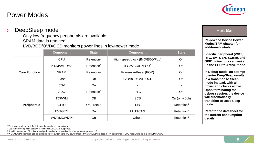<sup>1</sup> This is not retained by default. It must be configured by software <sup>2</sup> See the device-specific datasheet to check if LPECO is supported.

<sup>3</sup> Specific registers of CPU, DMA, and peripherals are retained while other parts are powered off

#### Power Modes

|  | DeepSleep mode |  |
|--|----------------|--|
|--|----------------|--|

- Only low-frequency peripherals are available
- SRAM data is retained<sup>1</sup>
- LVD/BOD/OVD/OCD monitors power lines in low-power mode

|                      | <b>Component</b>                         | <b>State</b>              | <b>Component</b>               | <b>State</b>              |
|----------------------|------------------------------------------|---------------------------|--------------------------------|---------------------------|
| <b>Core Function</b> | CPU                                      | $R$ etention <sup>3</sup> | High-speed clock (IMO/ECO/PLL) | Off                       |
|                      | P-DMA/M-DMA                              | $R$ etention <sup>3</sup> | ILO/WCO/LPECO <sup>2</sup>     | <b>On</b>                 |
|                      | <b>SRAM</b><br>$R$ etention <sup>3</sup> |                           | Power-on-Reset (POR)           | On                        |
|                      | Flash                                    | Off                       | LVD/BOD/OVD/OCD                | On                        |
|                      | CSV                                      | On                        |                                |                           |
| <b>Peripherals</b>   | ADC                                      | $R$ etention <sup>3</sup> | <b>RTC</b>                     | On                        |
|                      | <b>TCPWM</b>                             | Off                       | <b>SCB</b>                     | On (only 0ch)             |
|                      | <b>GPIO</b>                              | On/Freeze                 | <b>LIN</b>                     | $R$ etention <sup>3</sup> |
|                      | <b>EVTGEN</b>                            | On                        | M_TTCAN                        | $R$ etention <sup>3</sup> |
|                      | WDT/MCWDT <sup>4</sup>                   | On                        | <b>Others</b>                  | $R$ etention <sup>3</sup> |

#### **Hint Bar**

**Review the Device Power Modes TRM chapter for additional details**

**Specific peripheral (WDT, RTC, EVTGEN, SCB#0, and GPIO) interrupts can wake up the CPU to Active mode**

**In Debug mode, an attempt to enter DeepSleep results in a transition to Sleep mode instead, with all power and clocks active. Upon terminating the debug session, the device will automatically transition to DeepSleep mode**

**Refer to the datasheet for the current consumption details**

002-22203 \*D 2020-12-03 **Copyright © Infineon Technologies AG 2020.** All rights reserved.

<sup>4</sup>WDT/MCWDT operation can be disabled before switching to low-power mode. If WDT/MCWDT is used in low-power mode, CPU must wake up to clear WDT/MCWDT

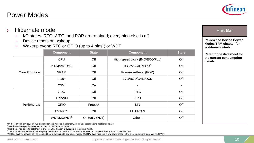<sup>2</sup> See the device-specific datasheet to check if LPECO is supported.

<sup>3</sup> See the device-specific datasheet to check if CSV function is available in Hibernate mode.

#### Power Modes

#### › Hibernate mode

- I/O states, RTC, WDT, and POR are retained; everything else is off
- Device resets on wakeup
- Wakeup event: RTC or GPIO (up to 4 pins<sup>1</sup>) or WDT

<sup>4</sup>The I/O state must be frozen before going into Hibernate mode and unfrozen after Reset, to complete the transition to Active mode

<sup>5</sup>WDT/MCWDT operation can be disabled before switching to low-power mode. If WDT/MCWDT is used in low-power mode, CPU must wake up to clear WDT/MCWDT

|                      | <b>Component</b>                           | <b>State</b>                          | <b>Component</b>           | <b>State</b>             |
|----------------------|--------------------------------------------|---------------------------------------|----------------------------|--------------------------|
|                      | <b>CPU</b>                                 | Off<br>High-speed clock (IMO/ECO/PLL) |                            | Off                      |
|                      | P-DMA/M-DMA                                | Off                                   | ILO/WCO/LPECO <sup>2</sup> | On                       |
| <b>Core Function</b> | Off<br><b>SRAM</b><br>Power-on-Reset (POR) |                                       |                            | On                       |
|                      | Flash                                      | Off                                   | LVD/BOD/OVD/OCD            | Off                      |
|                      | CSV <sup>3</sup>                           | On                                    |                            | $\overline{\phantom{a}}$ |
|                      | <b>ADC</b>                                 | Off                                   | <b>RTC</b>                 | On                       |
|                      | <b>TCPWM</b>                               | Off                                   | <b>SCB</b>                 | Off                      |
| <b>Peripherals</b>   | <b>GPIO</b>                                | Freeze <sup>4</sup><br><b>LIN</b>     |                            | Off                      |
|                      | <b>EVTGEN</b>                              | Off                                   | M_TTCAN                    | Off                      |
|                      | WDT/MCWDT <sup>5</sup>                     | On (only WDT)                         | <b>Others</b>              | Off                      |

#### **Hint Bar**

**Review the Device Power Modes TRM chapter for additional details**

**Refer to the datasheet for the current consumption details**

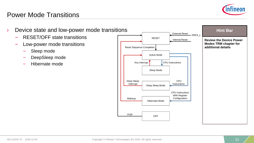

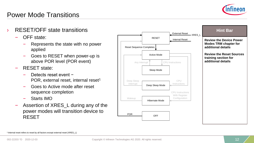

- RESET/OFF state transitions
	- OFF state:
		- Represents the state with no power applied
		- Goes to RESET when power-up is above POR level (POR event)
	- RESET state:
		- Detects reset event − POR, external reset, internal reset<sup>1</sup>
		- Goes to Active mode after reset sequence completion
		- Starts IMO
	- Assertion of XRES L during any of the power modes will transition device to RESET

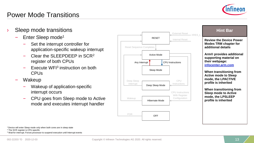

- Sleep mode transitions
	- Enter Sleep mode<sup>1</sup>
		- Set the interrupt controller for application-specific wakeup interrupt
		- Clear the SLEEPDEEP in SCR<sup>2</sup> register of both CPUs
		- Execute WFI<sup>3</sup> instruction on both CPUs
	- Wakeup
		- Wakeup of application-specific interrupt occurs
		- CPU goes from Sleep mode to Active mode and executes interrupt handler



#### **Hint Bar**

**Review the Device Power Modes TRM chapter for additional details**

**Arm® provides additional supporting material on their webpage: [infocenter.arm.com](http://infocenter.arm.com/)**

**When transitioning from Active mode to Sleep mode, the LPACTIVE profile is inherited**

**When transitioning from Sleep mode to Active mode, the LPSLEEP profile is inherited**

<sup>1</sup>Device will enter Sleep mode only when both cores are in sleep state

<sup>2</sup> The SCR register is CPU-specific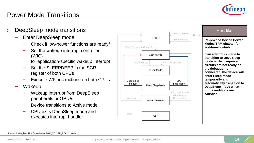

- DeepSleep mode transitions
	- Enter DeepSleep mode
		- Check if low-power functions are ready<sup>1</sup>
		- Set the wakeup interrupt controller (WIC)
			- for application-specific wakeup interrupt
		- Set the SLEEPDEEP in the SCR register of both CPUs
		- Execute WFI instructions on both CPUs
	- Wakeup
		- Wakeup interrupt from DeepSleep peripherals or GPIOs
		- Device transitions to Active mode
		- CPU exits DeepSleep mode and executes interrupt handler



#### **Hint Bar**

**Review the Device Power Modes TRM chapter for additional details**

**If an attempt is made to transition to DeepSleep mode while low-power circuits are not ready or the debugger is connected, the device will enter Sleep mode temporarily and automatically transition to DeepSleep mode when both conditions are satisfied**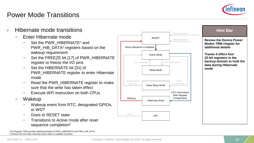

- › Hibernate mode transitions
	- Enter Hibernate mode
		- Set the PWR\_HIBERNATE<sup>1</sup> and PWR\_HIB\_DATA<sup>1</sup> registers based on the wakeup requirement
		- Set the FREEZE bit [17] of PWR\_HIBERNATE register to freeze the I/O pins
		- Set the HIBERNATE bit [31] of PWR\_HIBERNATE register to enter Hibernate mode
		- Read the PWR\_HIBERNATE register to make sure that the write has taken effect
		- Execute WFI instruction on both CPUs
	- Wakeup
		- Wakeup event from RTC, designated GPIOs, or WDT
		- Goes to RESET state
		- Transitions to Active mode after reset sequence completion<sup>2</sup>

<sup>1</sup>The Register TRM provides additional details of PWR\_HIBERNATE and PWR\_HIB\_DATA <sup>2</sup> Unfreeze the I/Os after reaching Active state to complete transition





#### **Hint Bar**

**Review the Device Power Modes TRM chapter for additional details**

**Traveo II offers four 32-bit registers in the backup domain to hold the data during Hibernate mode**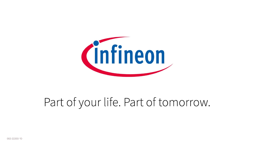

# Part of your life. Part of tomorrow.